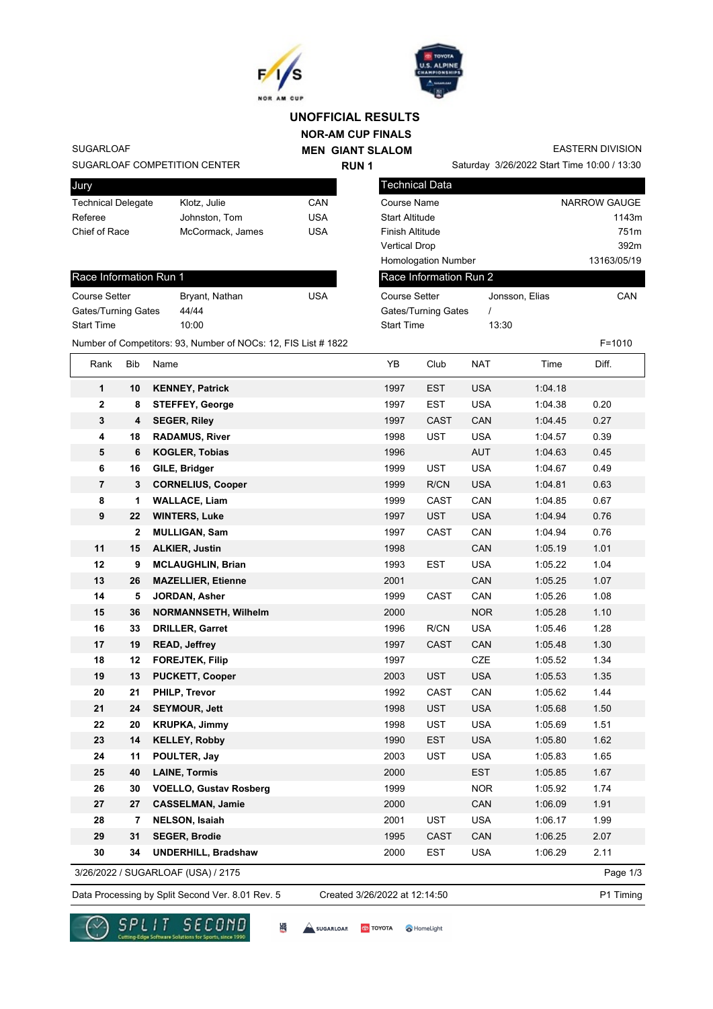



Technical Data

Course Setter

Race Information Run 2

## **NOR-AM CUP FINALS UNOFFICIAL RESULTS**

**MEN GIANT SLALOM RUN 1**

EASTERN DIVISION

Saturday 3/26/2022 Start Time 10:00 / 13:30

Jonsson, Elias CAN

Course Name NARROW GAUGE Start Altitude 1143m Finish Altitude 751m Vertical Drop 392m Homologation Number 13163/05/19

SUGARLOAF

SUGARLOAF COMPETITION CENTER

| <b>Jury</b>               |                  |     |
|---------------------------|------------------|-----|
| <b>Technical Delegate</b> | Klotz, Julie     | CAN |
| Referee                   | Johnston, Tom    | USA |
| Chief of Race             | McCormack, James | USA |
|                           |                  |     |

| Race Information Run 1 |                |     |  |  |  |
|------------------------|----------------|-----|--|--|--|
| <b>Course Setter</b>   | Bryant, Nathan | USA |  |  |  |
| Gates/Turning Gates    | 44/44          |     |  |  |  |
| <b>Start Time</b>      | 10:00          |     |  |  |  |

| 44/44<br>Gates/Turning Gates |                         | <b>Gates/Turning Gates</b>                                     |                   |             |            |         |            |  |
|------------------------------|-------------------------|----------------------------------------------------------------|-------------------|-------------|------------|---------|------------|--|
| <b>Start Time</b>            |                         | 10:00                                                          | <b>Start Time</b> |             | 13:30      |         |            |  |
|                              |                         | Number of Competitors: 93, Number of NOCs: 12, FIS List # 1822 |                   |             |            |         | $F = 1010$ |  |
| Rank                         | Bib                     | Name                                                           | YB                | Club        | <b>NAT</b> | Time    | Diff.      |  |
| $\mathbf{1}$                 | 10                      | <b>KENNEY, Patrick</b>                                         | 1997              | <b>EST</b>  | <b>USA</b> | 1:04.18 |            |  |
| $\mathbf{2}$                 | 8                       | <b>STEFFEY, George</b>                                         | 1997              | <b>EST</b>  | <b>USA</b> | 1:04.38 | 0.20       |  |
| $\mathbf 3$                  | $\overline{\mathbf{4}}$ | <b>SEGER, Riley</b>                                            | 1997              | <b>CAST</b> | CAN        | 1:04.45 | 0.27       |  |
| 4                            | 18                      | <b>RADAMUS, River</b>                                          | 1998              | <b>UST</b>  | <b>USA</b> | 1:04.57 | 0.39       |  |
| 5                            | $\bf 6$                 | <b>KOGLER, Tobias</b>                                          | 1996              |             | AUT        | 1:04.63 | 0.45       |  |
| 6                            | 16                      | GILE, Bridger                                                  | 1999              | <b>UST</b>  | <b>USA</b> | 1:04.67 | 0.49       |  |
| $\overline{7}$               | $\mathbf 3$             | <b>CORNELIUS, Cooper</b>                                       | 1999              | R/CN        | <b>USA</b> | 1:04.81 | 0.63       |  |
| 8                            | 1                       | <b>WALLACE, Liam</b>                                           | 1999              | <b>CAST</b> | CAN        | 1:04.85 | 0.67       |  |
| 9                            | 22                      | <b>WINTERS, Luke</b>                                           | 1997              | <b>UST</b>  | <b>USA</b> | 1:04.94 | 0.76       |  |
|                              | $\overline{2}$          | <b>MULLIGAN, Sam</b>                                           | 1997              | <b>CAST</b> | CAN        | 1:04.94 | 0.76       |  |
| 11                           | 15                      | <b>ALKIER, Justin</b>                                          | 1998              |             | CAN        | 1:05.19 | 1.01       |  |
| 12                           | 9                       | <b>MCLAUGHLIN, Brian</b>                                       | 1993              | <b>EST</b>  | <b>USA</b> | 1:05.22 | 1.04       |  |
| 13                           | 26                      | <b>MAZELLIER, Etienne</b>                                      | 2001              |             | CAN        | 1:05.25 | 1.07       |  |
| 14                           | 5                       | JORDAN, Asher                                                  | 1999              | CAST        | CAN        | 1:05.26 | 1.08       |  |
| 15                           | 36                      | <b>NORMANNSETH, Wilhelm</b>                                    | 2000              |             | <b>NOR</b> | 1:05.28 | 1.10       |  |
| 16                           | 33                      | <b>DRILLER, Garret</b>                                         | 1996              | R/CN        | <b>USA</b> | 1:05.46 | 1.28       |  |
| 17                           | 19                      | <b>READ, Jeffrey</b>                                           | 1997              | <b>CAST</b> | CAN        | 1:05.48 | 1.30       |  |
| 18                           | 12                      | <b>FOREJTEK, Filip</b>                                         | 1997              |             | <b>CZE</b> | 1:05.52 | 1.34       |  |
| 19                           | 13                      | <b>PUCKETT, Cooper</b>                                         | 2003              | <b>UST</b>  | <b>USA</b> | 1:05.53 | 1.35       |  |
| 20                           | 21                      | PHILP, Trevor                                                  | 1992              | CAST        | CAN        | 1:05.62 | 1.44       |  |
| 21                           | 24                      | <b>SEYMOUR, Jett</b>                                           | 1998              | <b>UST</b>  | <b>USA</b> | 1:05.68 | 1.50       |  |
| 22                           | 20                      | <b>KRUPKA, Jimmy</b>                                           | 1998              | <b>UST</b>  | <b>USA</b> | 1:05.69 | 1.51       |  |
| 23                           | 14                      | <b>KELLEY, Robby</b>                                           | 1990              | <b>EST</b>  | <b>USA</b> | 1:05.80 | 1.62       |  |
| 24                           | 11                      | POULTER, Jay                                                   | 2003              | <b>UST</b>  | <b>USA</b> | 1:05.83 | 1.65       |  |
| 25                           | 40                      | <b>LAINE, Tormis</b>                                           | 2000              |             | <b>EST</b> | 1:05.85 | 1.67       |  |
| 26                           | 30                      | <b>VOELLO, Gustav Rosberg</b>                                  | 1999              |             | <b>NOR</b> | 1:05.92 | 1.74       |  |

3/26/2022 / SUGARLOAF (USA) / 2175

Page 1/3

Data Processing by Split Second Ver. 8.01 Rev. 5 Created 3/26/2022 at 12:14:50 P1 Timing

Created 3/26/2022 at 12:14:50



**SUGARLOAR** 

썖

**27 27 CASSELMAN, Jamie** 2000 CAN 1:06.09 1.91 **28 7 NELSON, Isaiah** 2001 UST USA 1:06.17 1.99 **29 31 SEGER, Brodie** 1995 CAST CAN 1:06.25 2.07 **30 34 UNDERHILL, Bradshaw** 2000 EST USA 1:06.29 2.11

**TOYOTA** A HomeLight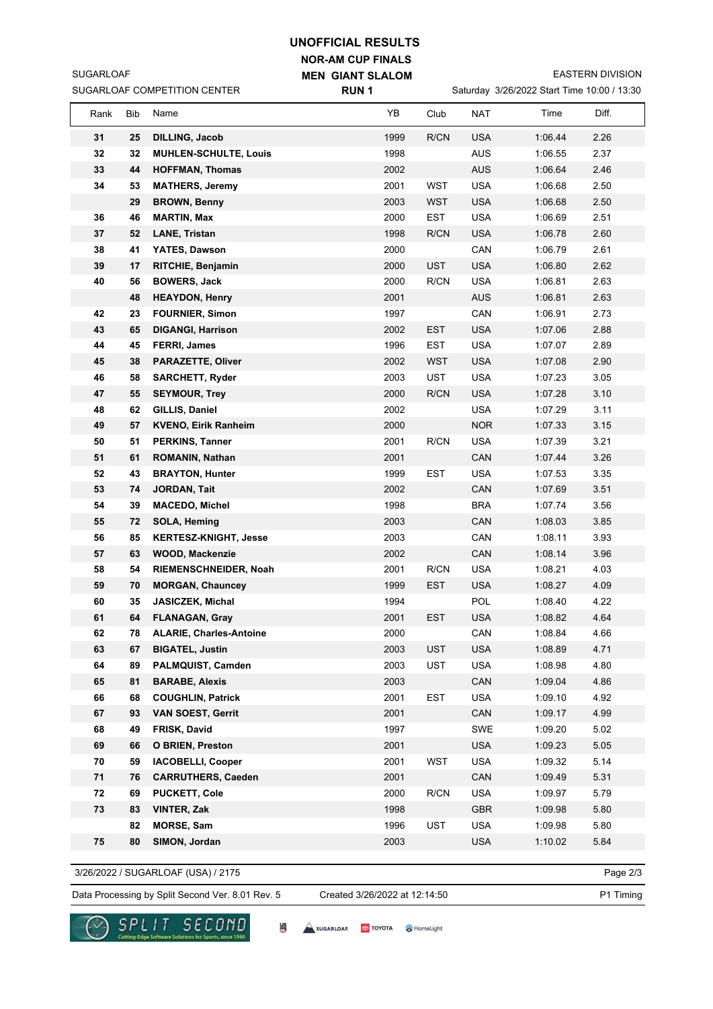## **UNOFFICIAL RESULTS**

**NOR-AM CUP FINALS MEN GIANT SLALOM**

EASTERN DIVISION

|          |            | SUGARLOAF COMPETITION CENTER                       | <b>RUN1</b>  | Saturday 3/26/2022 Start Time 10:00 / 13:30 |                   |                    |              |
|----------|------------|----------------------------------------------------|--------------|---------------------------------------------|-------------------|--------------------|--------------|
| Rank     | <b>Bib</b> | Name                                               | YB           | Club                                        | <b>NAT</b>        | Time               | Diff.        |
| 31       | 25         | <b>DILLING, Jacob</b>                              | 1999         | R/CN                                        | <b>USA</b>        | 1:06.44            | 2.26         |
| 32       | 32         | <b>MUHLEN-SCHULTE, Louis</b>                       | 1998         |                                             | <b>AUS</b>        | 1:06.55            | 2.37         |
| 33       | 44         | <b>HOFFMAN, Thomas</b>                             | 2002         |                                             | <b>AUS</b>        | 1:06.64            | 2.46         |
| 34       | 53         | <b>MATHERS, Jeremy</b>                             | 2001         | WST                                         | <b>USA</b>        | 1:06.68            | 2.50         |
|          | 29         | <b>BROWN, Benny</b>                                | 2003         | WST                                         | <b>USA</b>        | 1:06.68            | 2.50         |
| 36       | 46         | <b>MARTIN, Max</b>                                 | 2000         | <b>EST</b>                                  | <b>USA</b>        | 1:06.69            | 2.51         |
| 37       | 52         | <b>LANE, Tristan</b>                               | 1998         | R/CN                                        | <b>USA</b>        | 1:06.78            | 2.60         |
| 38       | 41         | YATES, Dawson                                      | 2000         |                                             | CAN               | 1:06.79            | 2.61         |
| 39       | 17         | <b>RITCHIE, Benjamin</b>                           | 2000         | <b>UST</b>                                  | <b>USA</b>        | 1:06.80            | 2.62         |
| 40       | 56         | <b>BOWERS, Jack</b>                                | 2000         | R/CN                                        | <b>USA</b>        | 1:06.81            | 2.63         |
|          | 48         | <b>HEAYDON, Henry</b>                              | 2001         |                                             | <b>AUS</b>        | 1:06.81            | 2.63         |
| 42       | 23         | <b>FOURNIER, Simon</b>                             | 1997         |                                             | CAN               | 1:06.91            | 2.73         |
| 43       | 65         | <b>DIGANGI, Harrison</b>                           | 2002         | EST                                         | <b>USA</b>        | 1:07.06            | 2.88         |
| 44       | 45         | <b>FERRI, James</b>                                | 1996         | EST                                         | <b>USA</b>        | 1:07.07            | 2.89         |
| 45       | 38         | <b>PARAZETTE, Oliver</b>                           | 2002         | <b>WST</b>                                  | <b>USA</b>        | 1:07.08            | 2.90         |
| 46       | 58         | <b>SARCHETT, Ryder</b>                             | 2003         | <b>UST</b>                                  | <b>USA</b>        | 1:07.23            | 3.05         |
| 47       | 55         | <b>SEYMOUR, Trey</b>                               | 2000         | R/CN                                        | <b>USA</b>        | 1:07.28            | 3.10         |
| 48       | 62         | GILLIS, Daniel                                     | 2002         |                                             | <b>USA</b>        | 1:07.29            | 3.11         |
| 49       | 57         | <b>KVENO, Eirik Ranheim</b>                        | 2000         |                                             | <b>NOR</b>        | 1:07.33            | 3.15         |
| 50       | 51         | <b>PERKINS, Tanner</b>                             | 2001         | R/CN                                        | <b>USA</b>        | 1:07.39            | 3.21         |
| 51       | 61         | <b>ROMANIN, Nathan</b>                             | 2001         |                                             | CAN               | 1:07.44            | 3.26         |
| 52       | 43         | <b>BRAYTON, Hunter</b>                             | 1999         | <b>EST</b>                                  | <b>USA</b>        | 1:07.53            | 3.35         |
| 53       | 74         | JORDAN, Tait                                       | 2002         |                                             | CAN               | 1:07.69            | 3.51         |
| 54       | 39         | <b>MACEDO, Michel</b>                              | 1998         |                                             | <b>BRA</b>        | 1:07.74            | 3.56         |
| 55       | 72         | <b>SOLA, Heming</b>                                | 2003         |                                             | CAN               | 1:08.03            | 3.85         |
| 56       | 85         | <b>KERTESZ-KNIGHT, Jesse</b>                       | 2003         |                                             | CAN               | 1:08.11            | 3.93         |
| 57       | 63         | <b>WOOD, Mackenzie</b>                             | 2002         |                                             | CAN               | 1:08.14            | 3.96         |
| 58       | 54         | RIEMENSCHNEIDER, Noah                              | 2001         | R/CN                                        | <b>USA</b>        | 1:08.21            | 4.03         |
| 59<br>60 | 70<br>35   | <b>MORGAN, Chauncey</b><br><b>JASICZEK, Michal</b> | 1999<br>1994 | <b>EST</b>                                  | <b>USA</b><br>POL | 1:08.27<br>1:08.40 | 4.09<br>4.22 |
| 61       | 64         | <b>FLANAGAN, Gray</b>                              | 2001         | EST                                         | USA               | 1:08.82            | 4.64         |
| 62       | 78         | <b>ALARIE, Charles-Antoine</b>                     | 2000         |                                             | CAN               | 1:08.84            | 4.66         |
| 63       | 67         | <b>BIGATEL, Justin</b>                             | 2003         | <b>UST</b>                                  | <b>USA</b>        | 1:08.89            | 4.71         |
| 64       | 89         | PALMQUIST, Camden                                  | 2003         | UST                                         | <b>USA</b>        | 1:08.98            | 4.80         |
| 65       | 81         | <b>BARABE, Alexis</b>                              | 2003         |                                             | CAN               | 1:09.04            | 4.86         |
| 66       | 68         | <b>COUGHLIN, Patrick</b>                           | 2001         | EST                                         | <b>USA</b>        | 1:09.10            | 4.92         |
| 67       | 93         | <b>VAN SOEST, Gerrit</b>                           | 2001         |                                             | CAN               | 1:09.17            | 4.99         |
| 68       | 49         | FRISK, David                                       | 1997         |                                             | SWE               | 1:09.20            | 5.02         |
| 69       | 66         | <b>O BRIEN, Preston</b>                            | 2001         |                                             | <b>USA</b>        | 1:09.23            | 5.05         |
| 70       | 59         | <b>IACOBELLI, Cooper</b>                           | 2001         | WST                                         | <b>USA</b>        | 1:09.32            | 5.14         |
| 71       | 76         | <b>CARRUTHERS, Caeden</b>                          | 2001         |                                             | CAN               | 1:09.49            | 5.31         |
| 72       | 69         | <b>PUCKETT, Cole</b>                               | 2000         | R/CN                                        | <b>USA</b>        | 1:09.97            | 5.79         |
| 73       | 83         | <b>VINTER, Zak</b>                                 | 1998         |                                             | <b>GBR</b>        | 1:09.98            | 5.80         |
|          | 82         | <b>MORSE, Sam</b>                                  | 1996         | UST                                         | <b>USA</b>        | 1:09.98            | 5.80         |
| 75       | 80         | SIMON, Jordan                                      | 2003         |                                             | <b>USA</b>        | 1:10.02            | 5.84         |
|          |            |                                                    |              |                                             |                   |                    |              |

3/26/2022 / SUGARLOAF (USA) / 2175

SUGARLOAF

Data Processing by Split Second Ver. 8.01 Rev. 5 Created 3/26/2022 at 12:14:50 P1 Timing Created 3/26/2022 at 12:14:50

Page 2/3

re Solutions for Sports, six